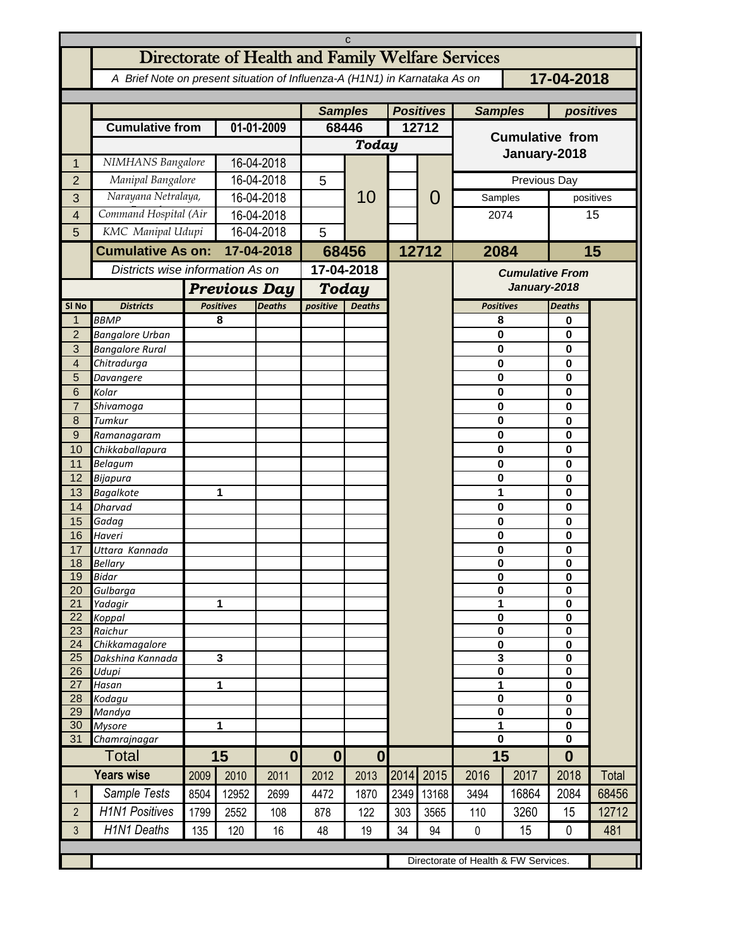| C                       |                                                                                          |                                      |                                   |                  |                           |                  |                  |       |                        |                        |                             |       |  |
|-------------------------|------------------------------------------------------------------------------------------|--------------------------------------|-----------------------------------|------------------|---------------------------|------------------|------------------|-------|------------------------|------------------------|-----------------------------|-------|--|
|                         | Directorate of Health and Family Welfare Services                                        |                                      |                                   |                  |                           |                  |                  |       |                        |                        |                             |       |  |
|                         | 17-04-2018<br>A Brief Note on present situation of Influenza-A (H1N1) in Karnataka As on |                                      |                                   |                  |                           |                  |                  |       |                        |                        |                             |       |  |
|                         |                                                                                          |                                      |                                   |                  | <b>Samples</b>            |                  | <b>Positives</b> |       | <b>Samples</b>         |                        | positives                   |       |  |
|                         | <b>Cumulative from</b>                                                                   |                                      | 01-01-2009                        |                  | 68446                     |                  | 12712            |       |                        |                        |                             |       |  |
|                         |                                                                                          |                                      |                                   |                  | Today                     |                  |                  |       | <b>Cumulative from</b> |                        |                             |       |  |
| 1                       | NIMHANS Bangalore                                                                        |                                      | 16-04-2018                        |                  |                           |                  |                  |       | January-2018           |                        |                             |       |  |
| $\overline{2}$          | Manipal Bangalore                                                                        |                                      | 16-04-2018                        |                  | 5                         |                  |                  | O     | Previous Day           |                        |                             |       |  |
| 3                       | Narayana Netralaya,                                                                      |                                      | 16-04-2018                        |                  |                           | 10               |                  |       | Samples                | positives              |                             |       |  |
| $\overline{\mathbf{4}}$ | Command Hospital (Air                                                                    |                                      | 16-04-2018                        |                  |                           |                  |                  |       | 2074                   |                        | 15                          |       |  |
| 5                       | KMC Manipal Udupi                                                                        |                                      | 16-04-2018                        |                  | 5                         |                  |                  |       |                        |                        |                             |       |  |
|                         | <b>Cumulative As on:</b>                                                                 |                                      | 17-04-2018                        |                  | 68456                     |                  |                  | 12712 | 2084                   |                        | 15                          |       |  |
|                         |                                                                                          |                                      | Districts wise information As on  |                  |                           | 17-04-2018       |                  |       |                        | <b>Cumulative From</b> |                             |       |  |
|                         |                                                                                          | <b>Previous Day</b>                  |                                   |                  | <b>Today</b>              |                  |                  |       |                        | January-2018           |                             |       |  |
| SI <sub>No</sub>        | <b>Districts</b>                                                                         |                                      | <b>Positives</b><br><b>Deaths</b> |                  | positive<br><b>Deaths</b> |                  |                  |       | <b>Positives</b>       |                        | <b>Deaths</b>               |       |  |
| $\mathbf 1$             | <b>BBMP</b>                                                                              |                                      | 8                                 |                  |                           |                  |                  |       | 8                      |                        | 0                           |       |  |
| $\overline{c}$          | <b>Bangalore Urban</b>                                                                   |                                      |                                   |                  |                           |                  |                  |       | 0                      |                        | 0                           |       |  |
| 3<br>$\overline{4}$     | <b>Bangalore Rural</b><br>Chitradurga                                                    |                                      |                                   |                  |                           |                  |                  |       | 0<br>0                 |                        | $\mathbf 0$<br>0            |       |  |
| 5                       | Davangere                                                                                |                                      |                                   |                  |                           |                  |                  |       | 0                      |                        | $\mathbf 0$                 |       |  |
| 6                       | Kolar                                                                                    |                                      |                                   |                  |                           |                  |                  |       | 0                      |                        | $\mathbf{0}$                |       |  |
| $\overline{7}$          | Shivamoga                                                                                |                                      |                                   |                  |                           |                  |                  |       | 0                      |                        | $\mathbf 0$<br>$\mathbf{0}$ |       |  |
| 8                       | Tumkur                                                                                   |                                      |                                   |                  |                           |                  |                  |       |                        | 0                      |                             |       |  |
| $\mathsf 9$<br>10       | Ramanagaram<br>Chikkaballapura                                                           |                                      |                                   |                  |                           |                  |                  |       | 0<br>0                 |                        | $\mathbf 0$<br>$\mathbf{0}$ |       |  |
| 11                      | Belagum                                                                                  |                                      |                                   |                  |                           |                  |                  |       | 0                      |                        | $\mathbf 0$                 |       |  |
| 12                      | Bijapura                                                                                 |                                      |                                   |                  |                           |                  |                  |       | 0                      |                        | $\mathbf 0$                 |       |  |
| 13                      | <b>Bagalkote</b>                                                                         |                                      | 1                                 |                  |                           |                  |                  |       | 1                      |                        | $\mathbf 0$                 |       |  |
| 14<br>15                | Dharvad                                                                                  |                                      |                                   |                  |                           |                  |                  |       | 0<br>0                 |                        | $\mathbf 0$<br>$\mathbf 0$  |       |  |
| 16                      | Gadag<br>Haveri                                                                          |                                      |                                   |                  |                           |                  |                  |       | 0                      |                        | $\mathbf 0$                 |       |  |
| 17                      | Uttara Kannada                                                                           |                                      |                                   |                  |                           |                  |                  |       | 0                      |                        | 0                           |       |  |
| 18                      | <b>Bellarv</b>                                                                           |                                      |                                   |                  |                           |                  |                  |       | $\mathbf 0$            |                        | $\bf{0}$                    |       |  |
| 19<br>20                | <b>Bidar</b><br>Gulbarga                                                                 |                                      |                                   |                  |                           |                  |                  |       | 0<br>0                 |                        | 0<br>0                      |       |  |
| 21                      | Yadagir                                                                                  |                                      | 1                                 |                  |                           |                  |                  |       | 1                      |                        | $\mathbf 0$                 |       |  |
| 22                      | Koppal                                                                                   |                                      |                                   |                  |                           |                  |                  |       | $\pmb{0}$              |                        | 0                           |       |  |
| 23                      | Raichur                                                                                  |                                      |                                   |                  |                           |                  |                  |       | 0                      |                        | $\mathbf 0$                 |       |  |
| 24<br>25                | Chikkamagalore<br>Dakshina Kannada                                                       |                                      | $\mathbf{3}$                      |                  |                           |                  |                  |       | $\bf{0}$<br>3          |                        | $\mathbf 0$<br>$\mathbf 0$  |       |  |
| 26                      | Udupi                                                                                    |                                      |                                   |                  |                           |                  |                  |       | $\pmb{0}$              |                        | $\mathbf 0$                 |       |  |
| 27                      | Hasan                                                                                    |                                      | 1                                 |                  |                           |                  |                  |       | 1                      |                        | 0                           |       |  |
| 28<br>29                | Kodagu<br>Mandya                                                                         |                                      |                                   |                  |                           |                  |                  |       | 0<br>$\pmb{0}$         |                        | $\mathbf 0$<br>$\mathbf 0$  |       |  |
| 30                      | <b>Mysore</b>                                                                            | 1                                    |                                   |                  |                           |                  |                  |       | $\overline{1}$         |                        | $\mathbf 0$                 |       |  |
| 31                      | Chamrajnagar                                                                             |                                      |                                   |                  |                           |                  |                  |       | 0                      |                        | 0                           |       |  |
| Total                   |                                                                                          | 15                                   |                                   | $\boldsymbol{0}$ | $\mathbf{0}$              | $\boldsymbol{0}$ |                  |       | 15                     |                        | $\bf{0}$                    |       |  |
|                         | <b>Years wise</b>                                                                        | 2009                                 | 2010                              | 2011             | 2012                      | 2013             | 2014             | 2015  | 2016                   | 2017                   | 2018                        | Total |  |
| $\mathbf{1}$            | Sample Tests                                                                             | 8504                                 | 12952                             | 2699             | 4472                      | 1870             | 2349             | 13168 | 3494                   | 16864                  | 2084                        | 68456 |  |
| $\overline{2}$          | <b>H1N1 Positives</b>                                                                    | 1799                                 | 2552                              | 108              | 878                       | 122              | 303              | 3565  | 110                    | 3260                   | 15                          | 12712 |  |
| 3                       | <b>H1N1 Deaths</b>                                                                       | 135                                  | 120                               | 16               | 48                        | 19               | 34               | 94    | 0                      | 15                     | 0                           | 481   |  |
|                         |                                                                                          |                                      |                                   |                  |                           |                  |                  |       |                        |                        |                             |       |  |
|                         |                                                                                          | Directorate of Health & FW Services. |                                   |                  |                           |                  |                  |       |                        |                        |                             |       |  |